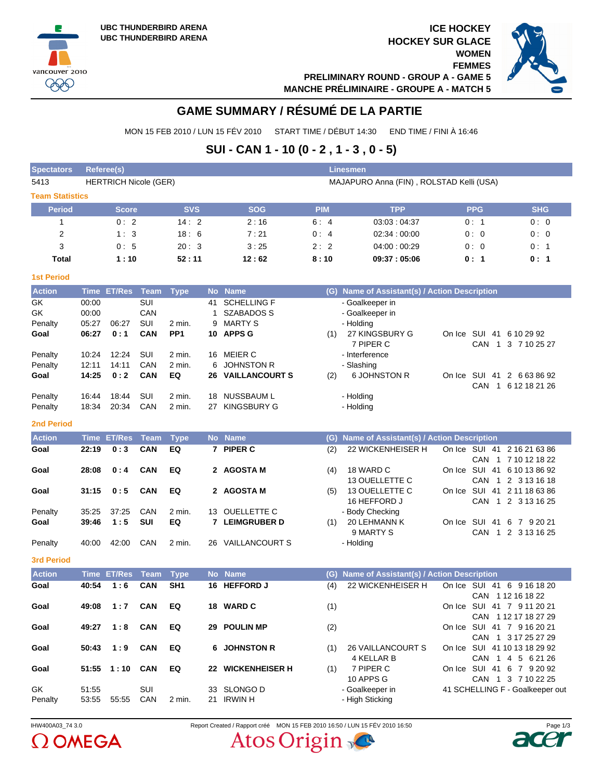vancouver 2010 999





# **GAME SUMMARY / RÉSUMÉ DE LA PARTIE**

MON 15 FEB 2010 / LUN 15 FÉV 2010 START TIME / DÉBUT 14:30 END TIME / FINI À 16:46

# **SUI - CAN 1 - 10 (0 - 2 , 1 - 3 , 0 - 5)**

| <b>Spectators</b>      | Referee(s)     |                              |                   |                 |           |                                     |            | Linesmen                                      |                                 |                      |
|------------------------|----------------|------------------------------|-------------------|-----------------|-----------|-------------------------------------|------------|-----------------------------------------------|---------------------------------|----------------------|
| 5413                   |                | <b>HERTRICH Nicole (GER)</b> |                   |                 |           |                                     |            | MAJAPURO Anna (FIN), ROLSTAD Kelli (USA)      |                                 |                      |
| <b>Team Statistics</b> |                |                              |                   |                 |           |                                     |            |                                               |                                 |                      |
| <b>Period</b>          |                | <b>Score</b>                 |                   | <b>SVS</b>      |           | <b>SOG</b>                          | <b>PIM</b> | <b>TPP</b>                                    | <b>PPG</b>                      | <b>SHG</b>           |
| 1                      |                | 0:2                          |                   | 14:2            |           | 2:16                                | 6:4        | 03:03:04:37                                   | 0:1                             | 0:0                  |
| 2                      |                | 1:3                          |                   | 18:6            |           | 7:21                                | 0:4        | 02:34:00:00                                   | 0:0                             | 0:0                  |
| 3                      |                | 0:5                          |                   | 20:3            |           | 3:25                                | 2:2        | 04:00:00:29                                   | 0:0                             | 0:1                  |
| <b>Total</b>           |                | 1:10                         |                   | 52:11           |           | 12:62                               | 8:10       | 09:37:05:06                                   | 0: 1                            | 0: 1                 |
| <b>1st Period</b>      |                |                              |                   |                 |           |                                     |            |                                               |                                 |                      |
| <b>Action</b>          |                | Time ET/Res Team             |                   | <b>Type</b>     | <b>No</b> | <b>Name</b>                         |            | (G) Name of Assistant(s) / Action Description |                                 |                      |
| GK                     | 00:00          |                              | SUI               |                 | 41        | <b>SCHELLING F</b>                  |            | - Goalkeeper in                               |                                 |                      |
| GK                     | 00:00          |                              | CAN               |                 | 1         | SZABADOS S                          |            | - Goalkeeper in                               |                                 |                      |
| Penalty                | 05:27          | 06:27                        | SUI               | 2 min.          | 9         | <b>MARTY S</b>                      |            | - Holding                                     |                                 |                      |
| Goal                   | 06:27          | 0:1                          | CAN               | PP <sub>1</sub> |           | 10 APPS G                           | (1)        | 27 KINGSBURY G<br>7 PIPER C                   | On Ice SUI 41 6 10 29 92        | CAN 1 3 7 10 25 27   |
| Penalty                | 10:24          | 12:24                        | SUI               | 2 min.          |           | 16 MEIER C                          |            | - Interference                                |                                 |                      |
| Penalty                | 12:11          | 14:11                        | CAN               | 2 min.          |           | 6 JOHNSTON R                        |            | - Slashing                                    |                                 |                      |
| Goal                   | 14:25          | 0:2                          | <b>CAN</b>        | EQ              | 26        | <b>VAILLANCOURT S</b>               | (2)        | 6 JOHNSTON R                                  | On Ice SUI 41 2 6 63 86 92      |                      |
|                        |                |                              |                   |                 |           |                                     |            |                                               |                                 | CAN 1 6 12 18 21 26  |
| Penalty                | 16:44<br>18:34 | 18:44<br>20:34               | SUI<br>CAN        | 2 min.          |           | 18 NUSSBAUM L<br><b>KINGSBURY G</b> |            | - Holding<br>- Holding                        |                                 |                      |
| Penalty                |                |                              |                   | 2 min.          | 27        |                                     |            |                                               |                                 |                      |
| <b>2nd Period</b>      |                |                              |                   |                 |           |                                     |            |                                               |                                 |                      |
| <b>Action</b>          |                | <b>Time ET/Res</b>           | <b>Team</b>       | <b>Type</b>     |           | No Name                             | (G)        | Name of Assistant(s) / Action Description     |                                 |                      |
| Goal                   | 22:19          | 0:3                          | CAN               | EQ              |           | 7 PIPER C                           | (2)        | 22 WICKENHEISER H                             | On Ice SUI 41 2 16 21 63 86     |                      |
| Goal                   | 28:08          | 0:4                          | <b>CAN</b>        | EQ              |           | 2 AGOSTA M                          | (4)        | 18 WARD C                                     | On Ice SUI 41 6 10 13 86 92     | CAN 1 7 10 12 18 22  |
|                        |                |                              |                   |                 |           |                                     |            | 13 OUELLETTE C                                |                                 | CAN 1 2 3 13 16 18   |
| Goal                   | 31:15          | 0:5                          | <b>CAN</b>        | EQ              |           | 2 AGOSTA M                          | (5)        | 13 OUELLETTE C                                | On Ice SUI 41 2 11 18 63 86     |                      |
|                        |                |                              |                   |                 |           |                                     |            | 16 HEFFORD J                                  |                                 | CAN 1 2 3 13 16 25   |
| Penalty                | 35:25          | 37:25<br>1:5                 | CAN<br><b>SUI</b> | 2 min.          |           | 13 OUELLETTE C                      |            | - Body Checking                               |                                 |                      |
| Goal                   | 39:46          |                              |                   | EQ              |           | 7 LEIMGRUBER D                      | (1)        | 20 LEHMANN K<br>9 MARTY S                     | On Ice SUI 41 6 7 9 20 21       | CAN 1 2 3 13 16 25   |
| Penalty                | 40:00          | 42:00                        | CAN               | 2 min.          |           | 26 VAILLANCOURT S                   |            | - Holding                                     |                                 |                      |
| <b>3rd Period</b>      |                |                              |                   |                 |           |                                     |            |                                               |                                 |                      |
| <b>Action</b>          | <b>Time</b>    | <b>ET/Res</b>                | <b>Team</b>       | <b>Type</b>     | <b>No</b> | <b>Name</b>                         | (G)        | Name of Assistant(s) / Action Description     |                                 |                      |
| Goal                   | 40:54          | 1:6                          | CAN               | SH <sub>1</sub> |           | 16 HEFFORD J                        | (4)        | 22 WICKENHEISER H                             | On Ice SUI 41 6 9 16 18 20      |                      |
|                        |                |                              |                   |                 |           |                                     |            |                                               |                                 | CAN 112 16 18 22     |
| Goal                   | 49:08          | 1:7                          | CAN               | EQ              |           | 18 WARD C                           | (1)        |                                               | On Ice SUI 41 7 9 11 20 21      |                      |
| Goal                   | 49:27          | 1:8                          | <b>CAN</b>        | EQ              |           | 29 POULIN MP                        | (2)        |                                               | On Ice SUI 41 7 9 16 20 21      | CAN 1 12 17 18 27 29 |
|                        |                |                              |                   |                 |           |                                     |            |                                               |                                 | CAN 1 3 17 25 27 29  |
| Goal                   | 50:43          | 1:9                          | <b>CAN</b>        | EQ              |           | 6 JOHNSTON R                        | (1)        | <b>26 VAILLANCOURT S</b>                      | On Ice SUI 41 10 13 18 29 92    |                      |
|                        |                |                              |                   |                 |           |                                     |            | 4 KELLAR B                                    |                                 | CAN 1 4 5 6 21 26    |
| Goal                   |                | $51:55$ $1:10$               | <b>CAN</b>        | EQ              |           | 22 WICKENHEISER H                   | (1)        | 7 PIPER C<br>10 APPS G                        | On Ice SUI 41 6 7 9 20 92       | CAN 1 3 7 10 22 25   |
| GK                     | 51:55          |                              | SUI               |                 |           | 33 SLONGO D                         |            | - Goalkeeper in                               | 41 SCHELLING F - Goalkeeper out |                      |
| Penalty                | 53:55          | 55:55                        | CAN               | 2 min.          |           | 21 IRWIN H                          |            | - High Sticking                               |                                 |                      |



IHW400A03\_74 3.0 Report Created / Rapport créé MON 15 FEB 2010 16:50 / LUN 15 FÉV 2010 16:50 Page 1/3Atos Origin

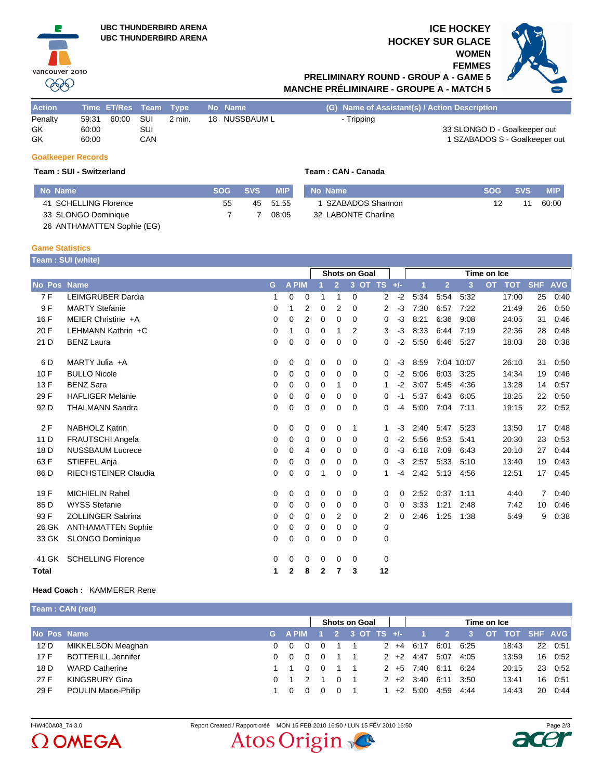



# **FEMMES PRELIMINARY ROUND - GROUP A - GAME 5 MANCHE PRÉLIMINAIRE - GROUPE A - MATCH 5**

| <b>Action</b>       | Time ET/Res Team Type   |       |                   |        | No Name       | (G) Name of Assistant(s) / Action Description                               |
|---------------------|-------------------------|-------|-------------------|--------|---------------|-----------------------------------------------------------------------------|
| Penalty<br>GK<br>GK | 59:31<br>60:00<br>60:00 | 60:00 | SUI<br>SUI<br>CAN | 2 min. | 18 NUSSBAUM L | - Tripping<br>33 SLONGO D - Goalkeeper out<br>1 SZABADOS S - Goalkeeper out |

# **Goalkeeper Records**

vancouver 2010 999

### **Team : SUI - Switzerland Team : CAN - Canada**

|  |  |  |  |  | Team: CAN - Canada |
|--|--|--|--|--|--------------------|
|--|--|--|--|--|--------------------|

| No Name               | <b>SOG</b> | <b>SVS</b> | <b>MIP</b> | No Name             | <b>SOG</b> | <b>SVS</b> | <b>MIP</b> |
|-----------------------|------------|------------|------------|---------------------|------------|------------|------------|
| 41 SCHELLING Florence | 55         |            | 45 51:55   | SZABADOS Shannon    |            |            | 60:00      |
| 33 SLONGO Dominique   |            |            | 08:05      | 32 LABONTE Charline |            |            |            |
|                       |            |            |            |                     |            |            |            |

26 ANTHAMATTEN Sophie (EG)

#### **Game Statistics Team : SUI (white)**

|                    | <b>Team . Sur (writte)</b>  |             |              |                |              |                |                      |                 |          |             |                |            |           |            |                |            |
|--------------------|-----------------------------|-------------|--------------|----------------|--------------|----------------|----------------------|-----------------|----------|-------------|----------------|------------|-----------|------------|----------------|------------|
|                    |                             |             |              |                |              |                | <b>Shots on Goal</b> |                 |          | Time on Ice |                |            |           |            |                |            |
| <b>No Pos Name</b> |                             | G           | A PIM        |                |              | $\overline{2}$ |                      | $3$ OT TS $+/-$ |          | и           | $\overline{2}$ | 3          | <b>OT</b> | <b>TOT</b> | <b>SHF</b>     | <b>AVG</b> |
| 7F                 | <b>LEIMGRUBER Darcia</b>    | 1           | 0            | 0              | 1            | 1              | 0                    | 2               | $-2$     | 5:34        | 5:54           | 5:32       |           | 17:00      | 25             | 0:40       |
| 9 F                | <b>MARTY Stefanie</b>       | $\Omega$    |              | 2              | 0            | 2              | 0                    | 2               | $-3$     | 7:30        | 6:57           | 7:22       |           | 21:49      | 26             | 0:50       |
| 16 F               | MEIER Christine +A          | $\mathbf 0$ | $\mathbf 0$  | $\overline{2}$ | $\mathbf 0$  | 0              | 0                    | 0               | $-3$     | 8:21        | 6:36           | 9:08       |           | 24:05      | 31             | 0:46       |
| 20 F               | LEHMANN Kathrin +C          | 0           | 1            | 0              | 0            | 1              | 2                    | 3               | $-3$     | 8:33        | 6:44           | 7:19       |           | 22:36      | 28             | 0:48       |
| 21 D               | <b>BENZ Laura</b>           | $\Omega$    | 0            | 0              | 0            | 0              | $\Omega$             | 0               | $-2$     | 5:50        | 6:46           | 5:27       |           | 18:03      | 28             | 0:38       |
| 6 D                | MARTY Julia +A              | 0           | 0            | 0              | 0            | 0              | 0                    | 0               | $-3$     | 8:59        |                | 7:04 10:07 |           | 26:10      | 31             | 0:50       |
| 10F                | <b>BULLO Nicole</b>         | 0           | 0            | 0              | 0            | 0              | 0                    | 0               | $-2$     | 5:06        | 6:03           | 3:25       |           | 14:34      | 19             | 0:46       |
| 13F                | <b>BENZ Sara</b>            | 0           | 0            | 0              | 0            | 1              | 0                    | 1               | $-2$     | 3:07        | 5:45           | 4:36       |           | 13:28      | 14             | 0:57       |
| 29 F               | <b>HAFLIGER Melanie</b>     | $\mathbf 0$ | 0            | 0              | 0            | 0              | 0                    | 0               | $-1$     | 5:37        | 6:43           | 6:05       |           | 18:25      | 22             | 0:50       |
| 92 D               | <b>THALMANN Sandra</b>      | 0           | 0            | 0              | 0            | 0              | 0                    | 0               | -4       | 5:00        | 7:04           | 7:11       |           | 19:15      | 22             | 0:52       |
| 2F                 | <b>NABHOLZ Katrin</b>       | 0           | 0            | 0              | 0            | 0              | 1                    | 1.              | $-3$     | 2:40        | 5:47           | 5:23       |           | 13:50      | 17             | 0.48       |
| 11 D               | <b>FRAUTSCHI Angela</b>     | 0           | 0            | 0              | 0            | 0              | 0                    | 0               | $-2$     | 5:56        | 8:53           | 5:41       |           | 20:30      | 23             | 0.53       |
| 18 <sub>D</sub>    | <b>NUSSBAUM Lucrece</b>     | 0           | 0            | 4              | 0            | 0              | $\Omega$             | 0               | $-3$     | 6:18        | 7:09           | 6:43       |           | 20:10      | 27             | 0:44       |
| 63 F               | STIEFEL Anja                | 0           | 0            | $\mathbf 0$    | 0            | 0              | $\Omega$             | 0               | $-3$     | 2:57        | 5:33           | 5:10       |           | 13:40      | 19             | 0.43       |
| 86 D               | <b>RIECHSTEINER Claudia</b> | 0           | 0            | 0              | 1            | 0              | 0                    | 1               | -4       | 2:42        | 5:13           | 4:56       |           | 12:51      | 17             | 0:45       |
| 19F                | <b>MICHIELIN Rahel</b>      | 0           | 0            | 0              | 0            | 0              | 0                    | 0               | 0        | 2:52        | 0:37           | 1:11       |           | 4:40       | $\overline{7}$ | 0:40       |
| 85 D               | <b>WYSS Stefanie</b>        | 0           | 0            | 0              | 0            | 0              | 0                    | 0               | $\Omega$ | 3:33        | 1:21           | 2:48       |           | 7:42       | 10             | 0:46       |
| 93 F               | <b>ZOLLINGER Sabrina</b>    | $\mathbf 0$ | $\mathbf 0$  | 0              | $\mathbf 0$  | $\overline{2}$ | 0                    | 2               | $\Omega$ | 2:46        | 1:25           | 1:38       |           | 5:49       | 9              | 0:38       |
| 26 GK              | <b>ANTHAMATTEN Sophie</b>   | 0           | $\mathbf 0$  | 0              | 0            | 0              | 0                    | 0               |          |             |                |            |           |            |                |            |
| 33 GK              | <b>SLONGO Dominique</b>     | $\Omega$    | 0            | 0              | 0            | 0              | $\Omega$             | 0               |          |             |                |            |           |            |                |            |
| 41 GK              | <b>SCHELLING Florence</b>   | 0           | 0            | 0              | 0            | 0              | 0                    | 0               |          |             |                |            |           |            |                |            |
| Total              |                             | 1           | $\mathbf{2}$ | 8              | $\mathbf{2}$ | 7              | 3                    | 12              |          |             |                |            |           |            |                |            |

### **Head Coach :** KAMMERER Rene

**Team : CAN (red)**

|             |                            | <b>Shots on Goal</b> |            |               |  |          |  |                         | Time on Ice |                |                 |      |                |       |    |         |
|-------------|----------------------------|----------------------|------------|---------------|--|----------|--|-------------------------|-------------|----------------|-----------------|------|----------------|-------|----|---------|
| No Pos Name |                            |                      |            |               |  |          |  | G A PIM 1 2 3 OT TS +/- |             |                | $\sim$ 2 $\sim$ | $-3$ | OT TOT SHF AVG |       |    |         |
| 12D         | MIKKELSON Meaghan          |                      | $0\quad 0$ |               |  |          |  |                         |             | $2 + 4 + 6:17$ | 6:01 6:25       |      |                | 18:43 |    | 22 0:51 |
| 17F         | <b>BOTTERILL Jennifer</b>  |                      | $0\quad 0$ |               |  |          |  |                         |             | $2 +2 4:47$    | 5:07            | 4:05 |                | 13:59 |    | 16 0:52 |
| 18 D        | <b>WARD Catherine</b>      |                      |            |               |  |          |  |                         |             | $2 + 5 + 7:40$ | 6:11 6:24       |      |                | 20:15 |    | 23 0:52 |
| 27 F        | <b>KINGSBURY Gina</b>      |                      |            | $\mathcal{P}$ |  | $\Omega$ |  |                         |             | $2 + 2 + 3:40$ | 6:11 3:50       |      |                | 13:41 |    | 16 0:51 |
| 29 F        | <b>POULIN Marie-Philip</b> |                      |            |               |  |          |  |                         | 1 $+2$      | 5:00           | 4:59            | 4:44 |                | 14:43 | 20 | 0:44    |



IHW400A03\_74 3.0 Report Created / Rapport créé MON 15 FEB 2010 16:50 / LUN 15 FÉV 2010 16:50 Page 2/3Atos Origin